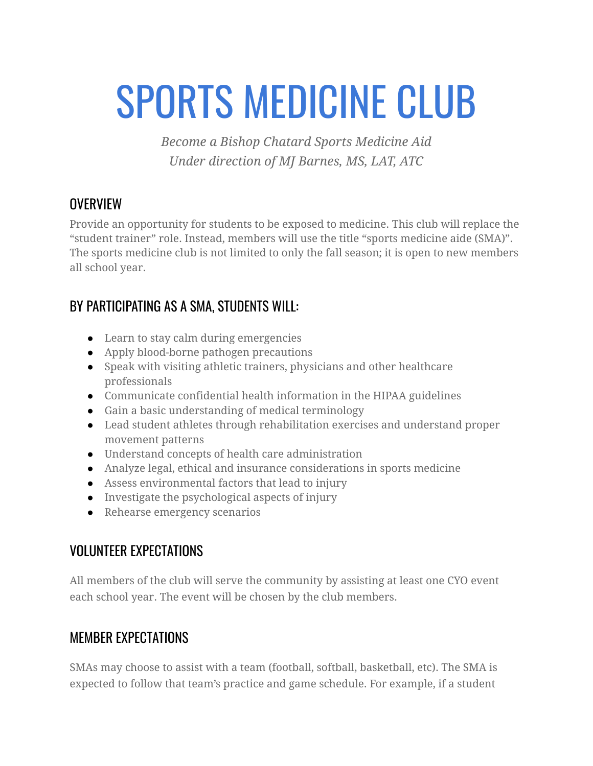# SPORTS MEDICINE CLUB

*Become a Bishop Chatard Sports Medicine Aid Under direction of MJ Barnes, MS, LAT, ATC*

#### **OVERVIEW**

Provide an opportunity for students to be exposed to medicine. This club will replace the "student trainer" role. Instead, members will use the title "sports medicine aide (SMA)". The sports medicine club is not limited to only the fall season; it is open to new members all school year.

## BY PARTICIPATING AS A SMA, STUDENTS WILL:

- Learn to stay calm during emergencies
- Apply blood-borne pathogen precautions
- Speak with visiting athletic trainers, physicians and other healthcare professionals
- Communicate confidential health information in the HIPAA guidelines
- Gain a basic understanding of medical terminology
- Lead student athletes through rehabilitation exercises and understand proper movement patterns
- Understand concepts of health care administration
- Analyze legal, ethical and insurance considerations in sports medicine
- Assess environmental factors that lead to injury
- Investigate the psychological aspects of injury
- Rehearse emergency scenarios

## VOLUNTEER EXPECTATIONS

All members of the club will serve the community by assisting at least one CYO event each school year. The event will be chosen by the club members.

#### MEMBER EXPECTATIONS

SMAs may choose to assist with a team (football, softball, basketball, etc). The SMA is expected to follow that team's practice and game schedule. For example, if a student